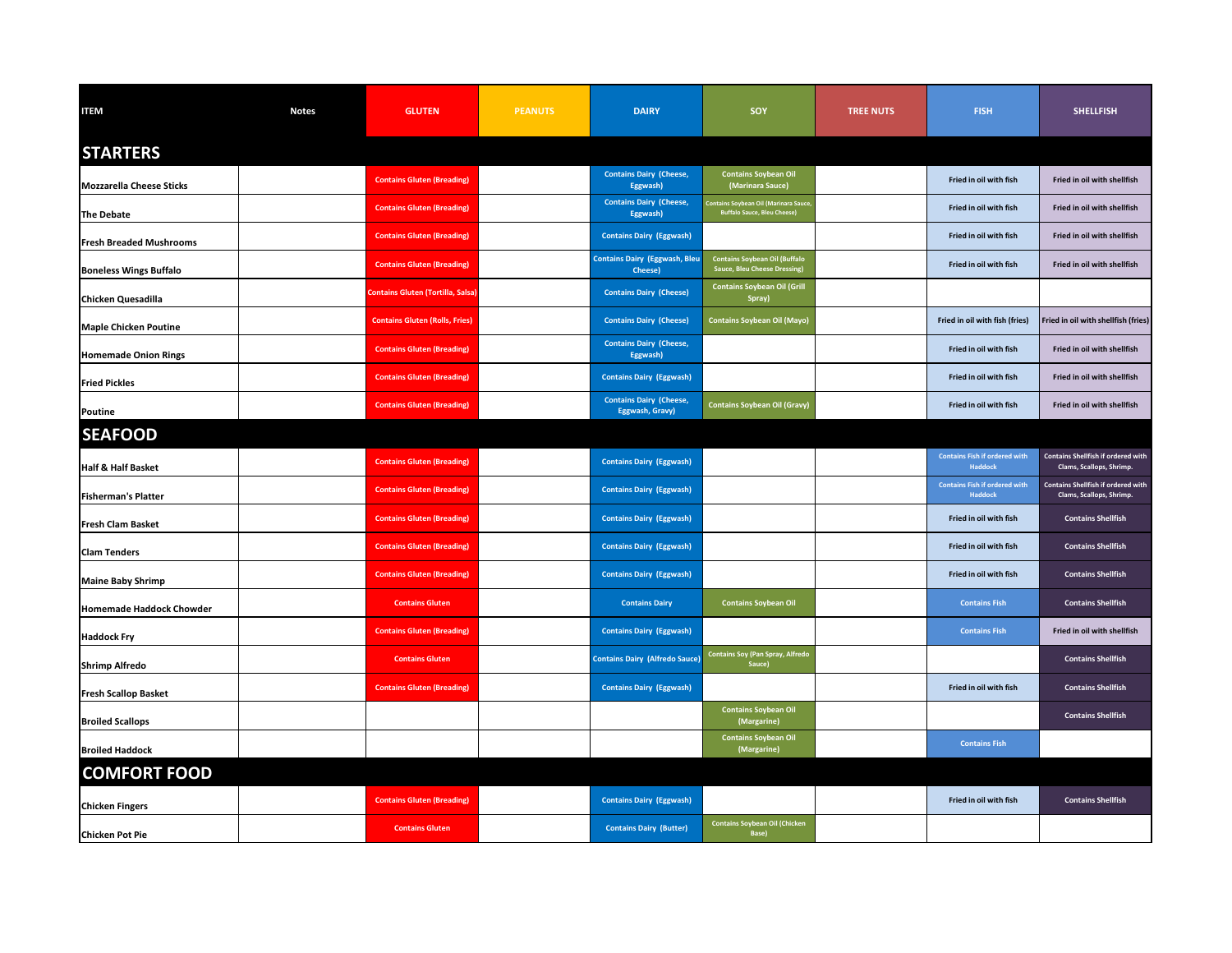| <b>ITEM</b>                     | <b>Notes</b> | <b>GLUTEN</b>                            | <b>PEANUTS</b> | <b>DAIRY</b>                                      | <b>SOY</b>                                                                        | <b>TREE NUTS</b> | <b>FISH</b>                                            | <b>SHELLFISH</b>                                                      |
|---------------------------------|--------------|------------------------------------------|----------------|---------------------------------------------------|-----------------------------------------------------------------------------------|------------------|--------------------------------------------------------|-----------------------------------------------------------------------|
| <b>STARTERS</b>                 |              |                                          |                |                                                   |                                                                                   |                  |                                                        |                                                                       |
| <b>Mozzarella Cheese Sticks</b> |              | <b>Contains Gluten (Breading)</b>        |                | <b>Contains Dairy (Cheese,</b><br>Eggwash)        | <b>Contains Soybean Oil</b><br>(Marinara Sauce)                                   |                  | Fried in oil with fish                                 | Fried in oil with shellfish                                           |
| The Debate                      |              | <b>Contains Gluten (Breading)</b>        |                | <b>Contains Dairy (Cheese,</b><br>Eggwash)        | <b>Contains Soybean Oil (Marinara Sauce</b><br><b>Buffalo Sauce, Bleu Cheese)</b> |                  | Fried in oil with fish                                 | Fried in oil with shellfish                                           |
| <b>Fresh Breaded Mushrooms</b>  |              | <b>Contains Gluten (Breading)</b>        |                | <b>Contains Dairy (Eggwash)</b>                   |                                                                                   |                  | Fried in oil with fish                                 | Fried in oil with shellfish                                           |
| <b>Boneless Wings Buffalo</b>   |              | <b>Contains Gluten (Breading)</b>        |                | <b>Contains Dairy (Eggwash, Bleu</b><br>Cheese)   | <b>Contains Soybean Oil (Buffalo</b><br>Sauce, Bleu Cheese Dressing)              |                  | Fried in oil with fish                                 | Fried in oil with shellfish                                           |
| <b>Chicken Quesadilla</b>       |              | <b>Contains Gluten (Tortilla, Salsa)</b> |                | <b>Contains Dairy (Cheese)</b>                    | <b>Contains Soybean Oil (Grill</b><br>Spray)                                      |                  |                                                        |                                                                       |
| <b>Maple Chicken Poutine</b>    |              | <b>Contains Gluten (Rolls, Fries)</b>    |                | <b>Contains Dairy (Cheese)</b>                    | <b>Contains Soybean Oil (Mayo)</b>                                                |                  | Fried in oil with fish (fries)                         | Fried in oil with shellfish (fries)                                   |
| <b>Homemade Onion Rings</b>     |              | <b>Contains Gluten (Breading)</b>        |                | <b>Contains Dairy (Cheese,</b><br>Eggwash)        |                                                                                   |                  | Fried in oil with fish                                 | Fried in oil with shellfish                                           |
| <b>Fried Pickles</b>            |              | <b>Contains Gluten (Breading)</b>        |                | <b>Contains Dairy (Eggwash)</b>                   |                                                                                   |                  | Fried in oil with fish                                 | Fried in oil with shellfish                                           |
| <b>Poutine</b>                  |              | <b>Contains Gluten (Breading)</b>        |                | <b>Contains Dairy (Cheese,</b><br>Eggwash, Gravy) | <b>Contains Soybean Oil (Gravy)</b>                                               |                  | Fried in oil with fish                                 | Fried in oil with shellfish                                           |
| <b>SEAFOOD</b>                  |              |                                          |                |                                                   |                                                                                   |                  |                                                        |                                                                       |
| <b>Half &amp; Half Basket</b>   |              | <b>Contains Gluten (Breading)</b>        |                | <b>Contains Dairy (Eggwash)</b>                   |                                                                                   |                  | <b>Contains Fish if ordered with</b><br><b>Haddock</b> | <b>Contains Shellfish if ordered with</b><br>Clams, Scallops, Shrimp. |
| <b>Fisherman's Platter</b>      |              | <b>Contains Gluten (Breading)</b>        |                | <b>Contains Dairy (Eggwash)</b>                   |                                                                                   |                  | <b>Contains Fish if ordered with</b><br><b>Haddock</b> | <b>Contains Shellfish if ordered with</b><br>Clams, Scallops, Shrimp. |
| <b>Fresh Clam Basket</b>        |              | <b>Contains Gluten (Breading)</b>        |                | <b>Contains Dairy (Eggwash)</b>                   |                                                                                   |                  | Fried in oil with fish                                 | <b>Contains Shellfish</b>                                             |
| <b>Clam Tenders</b>             |              | <b>Contains Gluten (Breading)</b>        |                | <b>Contains Dairy (Eggwash)</b>                   |                                                                                   |                  | Fried in oil with fish                                 | <b>Contains Shellfish</b>                                             |
| <b>Maine Baby Shrimp</b>        |              | <b>Contains Gluten (Breading)</b>        |                | <b>Contains Dairy (Eggwash)</b>                   |                                                                                   |                  | Fried in oil with fish                                 | <b>Contains Shellfish</b>                                             |
| Homemade Haddock Chowder        |              | <b>Contains Gluten</b>                   |                | <b>Contains Dairy</b>                             | <b>Contains Soybean Oil</b>                                                       |                  | <b>Contains Fish</b>                                   | <b>Contains Shellfish</b>                                             |
| <b>Haddock Fry</b>              |              | <b>Contains Gluten (Breading)</b>        |                | <b>Contains Dairy (Eggwash)</b>                   |                                                                                   |                  | <b>Contains Fish</b>                                   | Fried in oil with shellfish                                           |
| <b>Shrimp Alfredo</b>           |              | <b>Contains Gluten</b>                   |                | <b>Contains Dairy (Alfredo Sauce)</b>             | <b>Contains Soy (Pan Spray, Alfredo</b><br>Sauce)                                 |                  |                                                        | <b>Contains Shellfish</b>                                             |
| <b>Fresh Scallop Basket</b>     |              | <b>Contains Gluten (Breading)</b>        |                | <b>Contains Dairy (Eggwash)</b>                   |                                                                                   |                  | Fried in oil with fish                                 | <b>Contains Shellfish</b>                                             |
| <b>Broiled Scallops</b>         |              |                                          |                |                                                   | <b>Contains Soybean Oil</b><br>(Margarine)                                        |                  |                                                        | <b>Contains Shellfish</b>                                             |
| <b>Broiled Haddock</b>          |              |                                          |                |                                                   | <b>Contains Soybean Oil</b><br>(Margarine)                                        |                  | <b>Contains Fish</b>                                   |                                                                       |
| <b>COMFORT FOOD</b>             |              |                                          |                |                                                   |                                                                                   |                  |                                                        |                                                                       |
| <b>Chicken Fingers</b>          |              | <b>Contains Gluten (Breading)</b>        |                | <b>Contains Dairy (Eggwash)</b>                   |                                                                                   |                  | Fried in oil with fish                                 | <b>Contains Shellfish</b>                                             |
| <b>Chicken Pot Pie</b>          |              | <b>Contains Gluten</b>                   |                | <b>Contains Dairy (Butter)</b>                    | <b>Contains Soybean Oil (Chicken</b><br>Base)                                     |                  |                                                        |                                                                       |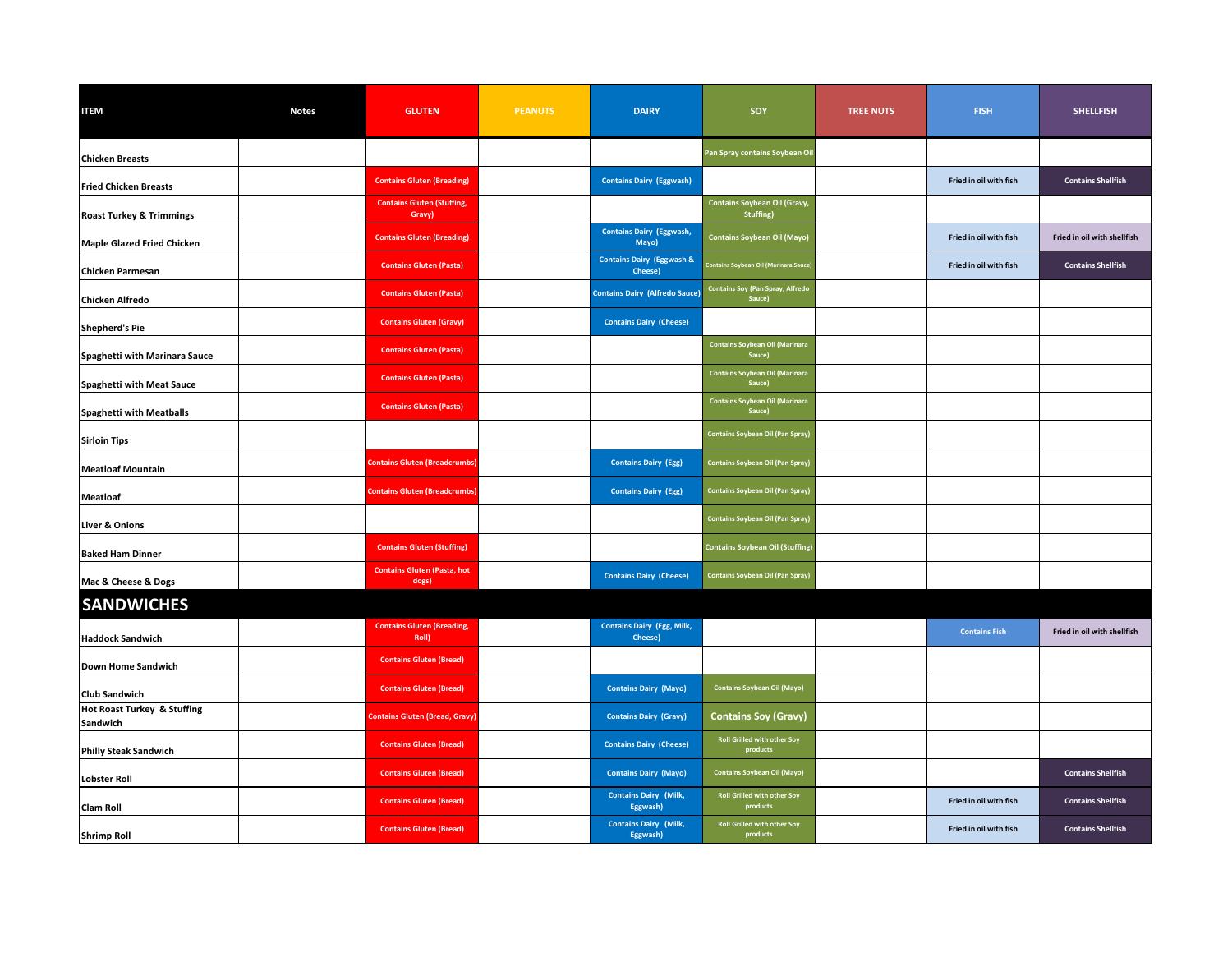| <b>ITEM</b>                             | <b>Notes</b> | <b>GLUTEN</b>                               | <b>PEANUTS</b> | <b>DAIRY</b>                                    | <b>SOY</b>                                              | <b>TREE NUTS</b> | <b>FISH</b>            | <b>SHELLFISH</b>            |
|-----------------------------------------|--------------|---------------------------------------------|----------------|-------------------------------------------------|---------------------------------------------------------|------------------|------------------------|-----------------------------|
| <b>Chicken Breasts</b>                  |              |                                             |                |                                                 | Pan Spray contains Soybean Oi                           |                  |                        |                             |
| <b>Fried Chicken Breasts</b>            |              | <b>Contains Gluten (Breading)</b>           |                | <b>Contains Dairy (Eggwash)</b>                 |                                                         |                  | Fried in oil with fish | <b>Contains Shellfish</b>   |
| <b>Roast Turkey &amp; Trimmings</b>     |              | <b>Contains Gluten (Stuffing,</b><br>Gravy) |                |                                                 | <b>Contains Soybean Oil (Gravy,</b><br><b>Stuffing)</b> |                  |                        |                             |
| Maple Glazed Fried Chicken              |              | <b>Contains Gluten (Breading)</b>           |                | <b>Contains Dairy (Eggwash,</b><br>Mayo)        | <b>Contains Soybean Oil (Mayo)</b>                      |                  | Fried in oil with fish | Fried in oil with shellfish |
| <b>Chicken Parmesan</b>                 |              | <b>Contains Gluten (Pasta)</b>              |                | <b>Contains Dairy (Eggwash &amp;</b><br>Cheese) | <b>Contains Soybean Oil (Marinara Sauce</b>             |                  | Fried in oil with fish | <b>Contains Shellfish</b>   |
| <b>Chicken Alfredo</b>                  |              | <b>Contains Gluten (Pasta)</b>              |                | <b>Contains Dairy (Alfredo Sauce)</b>           | <b>Contains Soy (Pan Spray, Alfredo</b><br>Sauce)       |                  |                        |                             |
| <b>Shepherd's Pie</b>                   |              | <b>Contains Gluten (Gravy)</b>              |                | <b>Contains Dairy (Cheese)</b>                  |                                                         |                  |                        |                             |
| Spaghetti with Marinara Sauce           |              | <b>Contains Gluten (Pasta)</b>              |                |                                                 | <b>Contains Soybean Oil (Marinara</b><br>Sauce)         |                  |                        |                             |
| <b>Spaghetti with Meat Sauce</b>        |              | <b>Contains Gluten (Pasta)</b>              |                |                                                 | <b>Contains Soybean Oil (Marinara</b><br>Sauce)         |                  |                        |                             |
| Spaghetti with Meatballs                |              | <b>Contains Gluten (Pasta)</b>              |                |                                                 | <b>Contains Soybean Oil (Marinara</b><br>Sauce)         |                  |                        |                             |
| <b>Sirloin Tips</b>                     |              |                                             |                |                                                 | <b>Contains Soybean Oil (Pan Spray)</b>                 |                  |                        |                             |
| <b>Meatloaf Mountain</b>                |              | <b>Contains Gluten (Breadcrumbs)</b>        |                | <b>Contains Dairy (Egg)</b>                     | <b>Contains Soybean Oil (Pan Spray)</b>                 |                  |                        |                             |
| Meatloaf                                |              | <b>Contains Gluten (Breadcrumbs)</b>        |                | <b>Contains Dairy (Egg)</b>                     | <b>Contains Soybean Oil (Pan Spray)</b>                 |                  |                        |                             |
| Liver & Onions                          |              |                                             |                |                                                 | <b>Contains Soybean Oil (Pan Spray)</b>                 |                  |                        |                             |
| <b>Baked Ham Dinner</b>                 |              | <b>Contains Gluten (Stuffing)</b>           |                |                                                 | <b>Contains Soybean Oil (Stuffing)</b>                  |                  |                        |                             |
| Mac & Cheese & Dogs                     |              | <b>Contains Gluten (Pasta, hot</b><br>dogs) |                | <b>Contains Dairy (Cheese)</b>                  | <b>Contains Soybean Oil (Pan Spray)</b>                 |                  |                        |                             |
| <b>SANDWICHES</b>                       |              |                                             |                |                                                 |                                                         |                  |                        |                             |
| <b>Haddock Sandwich</b>                 |              | <b>Contains Gluten (Breading,</b><br>Roll)  |                | <b>Contains Dairy (Egg, Milk,</b><br>Cheese)    |                                                         |                  | <b>Contains Fish</b>   | Fried in oil with shellfish |
| Down Home Sandwich                      |              | <b>Contains Gluten (Bread)</b>              |                |                                                 |                                                         |                  |                        |                             |
| <b>Club Sandwich</b>                    |              | <b>Contains Gluten (Bread)</b>              |                | <b>Contains Dairy (Mayo)</b>                    | <b>Contains Soybean Oil (Mayo)</b>                      |                  |                        |                             |
| Hot Roast Turkey & Stuffing<br>Sandwich |              | <b>Contains Gluten (Bread, Gravy)</b>       |                | <b>Contains Dairy (Gravy)</b>                   | <b>Contains Soy (Gravy)</b>                             |                  |                        |                             |
| <b>Philly Steak Sandwich</b>            |              | <b>Contains Gluten (Bread)</b>              |                | <b>Contains Dairy (Cheese)</b>                  | <b>Roll Grilled with other Soy</b><br>products          |                  |                        |                             |
| <b>Lobster Roll</b>                     |              | <b>Contains Gluten (Bread)</b>              |                | <b>Contains Dairy (Mayo)</b>                    | <b>Contains Soybean Oil (Mayo)</b>                      |                  |                        | <b>Contains Shellfish</b>   |
| <b>Clam Roll</b>                        |              | <b>Contains Gluten (Bread)</b>              |                | <b>Contains Dairy (Milk,</b><br>Eggwash)        | <b>Roll Grilled with other Soy</b><br>products          |                  | Fried in oil with fish | <b>Contains Shellfish</b>   |
| <b>Shrimp Roll</b>                      |              | <b>Contains Gluten (Bread)</b>              |                | <b>Contains Dairy (Milk,</b><br>Eggwash)        | <b>Roll Grilled with other Soy</b><br>products          |                  | Fried in oil with fish | <b>Contains Shellfish</b>   |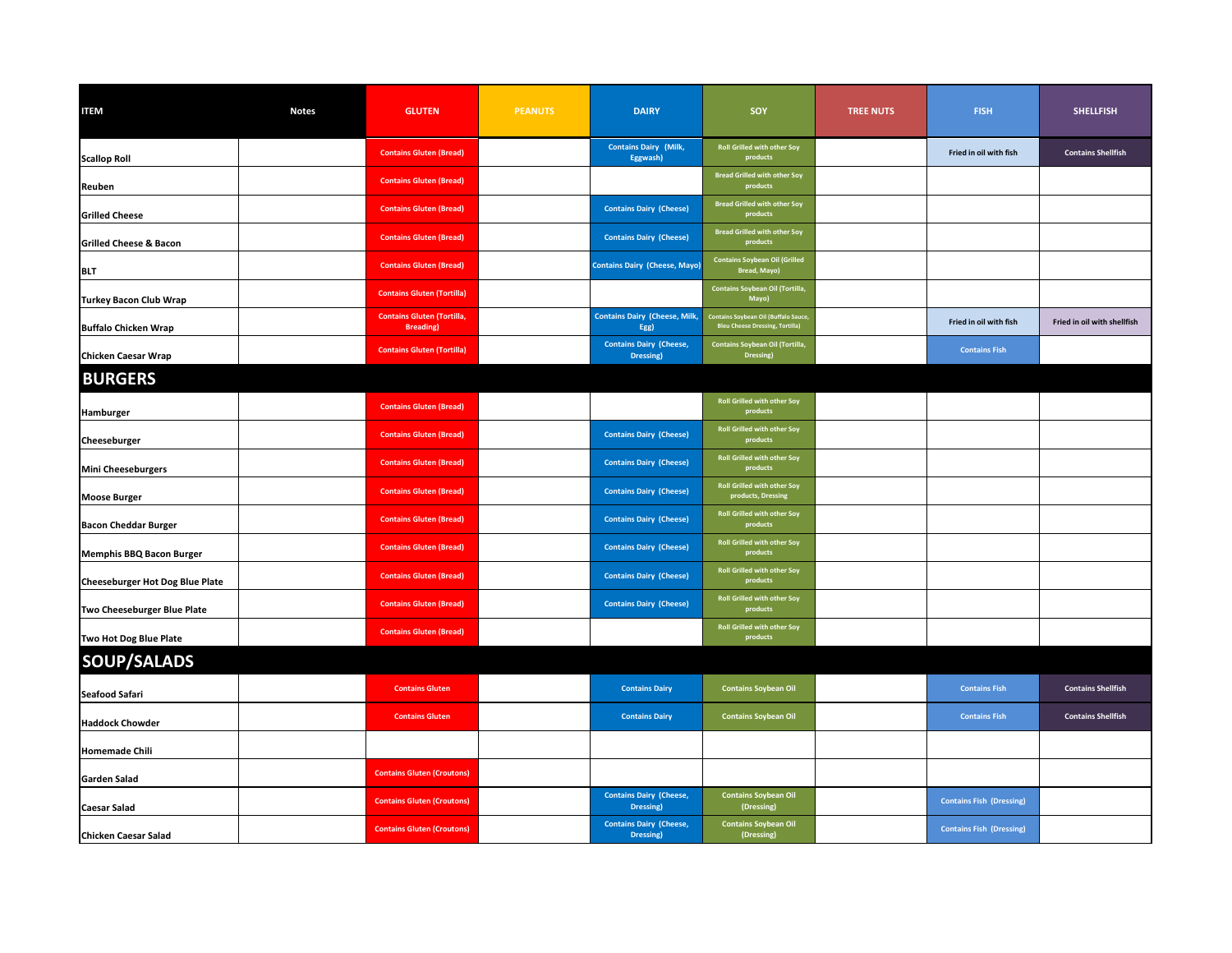| <b>ITEM</b>                            | <b>Notes</b> | <b>GLUTEN</b>                                          | <b>PEANUTS</b> | <b>DAIRY</b>                                 | SOY                                                                                   | <b>TREE NUTS</b> | <b>FISH</b>                     | <b>SHELLFISH</b>            |
|----------------------------------------|--------------|--------------------------------------------------------|----------------|----------------------------------------------|---------------------------------------------------------------------------------------|------------------|---------------------------------|-----------------------------|
| <b>Scallop Roll</b>                    |              | <b>Contains Gluten (Bread)</b>                         |                | <b>Contains Dairy (Milk,</b><br>Eggwash)     | <b>Roll Grilled with other Soy</b><br>products                                        |                  | Fried in oil with fish          | <b>Contains Shellfish</b>   |
| Reuben                                 |              | <b>Contains Gluten (Bread)</b>                         |                |                                              | <b>Bread Grilled with other Soy</b><br>products                                       |                  |                                 |                             |
| <b>Grilled Cheese</b>                  |              | <b>Contains Gluten (Bread)</b>                         |                | <b>Contains Dairy (Cheese)</b>               | <b>Bread Grilled with other Soy</b><br>products                                       |                  |                                 |                             |
| <b>Grilled Cheese &amp; Bacon</b>      |              | <b>Contains Gluten (Bread)</b>                         |                | <b>Contains Dairy (Cheese)</b>               | <b>Bread Grilled with other Soy</b><br>products                                       |                  |                                 |                             |
| <b>BLT</b>                             |              | <b>Contains Gluten (Bread)</b>                         |                | <b>Contains Dairy (Cheese, Mayo)</b>         | <b>Contains Soybean Oil (Grilled</b><br><b>Bread, Mayo)</b>                           |                  |                                 |                             |
| <b>Turkey Bacon Club Wrap</b>          |              | <b>Contains Gluten (Tortilla)</b>                      |                |                                              | Contains Soybean Oil (Tortilla,<br>Mayo)                                              |                  |                                 |                             |
| <b>Buffalo Chicken Wrap</b>            |              | <b>Contains Gluten (Tortilla,</b><br><b>Breading</b> ) |                | <b>Contains Dairy (Cheese, Milk,</b><br>Egg) | <b>Contains Soybean Oil (Buffalo Sauce,</b><br><b>Bleu Cheese Dressing, Tortilla)</b> |                  | Fried in oil with fish          | Fried in oil with shellfish |
| <b>Chicken Caesar Wrap</b>             |              | <b>Contains Gluten (Tortilla)</b>                      |                | <b>Contains Dairy (Cheese,</b><br>Dressing)  | Contains Soybean Oil (Tortilla,<br>Dressing)                                          |                  | <b>Contains Fish</b>            |                             |
| <b>BURGERS</b>                         |              |                                                        |                |                                              |                                                                                       |                  |                                 |                             |
| Hamburger                              |              | <b>Contains Gluten (Bread)</b>                         |                |                                              | <b>Roll Grilled with other Soy</b><br>products                                        |                  |                                 |                             |
| <b>Cheeseburger</b>                    |              | <b>Contains Gluten (Bread)</b>                         |                | <b>Contains Dairy (Cheese)</b>               | <b>Roll Grilled with other Soy</b><br>products                                        |                  |                                 |                             |
| <b>Mini Cheeseburgers</b>              |              | <b>Contains Gluten (Bread)</b>                         |                | <b>Contains Dairy (Cheese)</b>               | <b>Roll Grilled with other Soy</b><br>products                                        |                  |                                 |                             |
| <b>Moose Burger</b>                    |              | <b>Contains Gluten (Bread)</b>                         |                | <b>Contains Dairy (Cheese)</b>               | <b>Roll Grilled with other Soy</b><br>products, Dressing                              |                  |                                 |                             |
| <b>Bacon Cheddar Burger</b>            |              | <b>Contains Gluten (Bread)</b>                         |                | <b>Contains Dairy (Cheese)</b>               | <b>Roll Grilled with other Soy</b><br>products                                        |                  |                                 |                             |
| <b>Memphis BBQ Bacon Burger</b>        |              | <b>Contains Gluten (Bread)</b>                         |                | <b>Contains Dairy (Cheese)</b>               | <b>Roll Grilled with other Soy</b><br>products                                        |                  |                                 |                             |
| <b>Cheeseburger Hot Dog Blue Plate</b> |              | <b>Contains Gluten (Bread)</b>                         |                | <b>Contains Dairy (Cheese)</b>               | <b>Roll Grilled with other Soy</b><br>products                                        |                  |                                 |                             |
| Two Cheeseburger Blue Plate            |              | <b>Contains Gluten (Bread)</b>                         |                | <b>Contains Dairy (Cheese)</b>               | <b>Roll Grilled with other Soy</b><br>products                                        |                  |                                 |                             |
| Two Hot Dog Blue Plate                 |              | <b>Contains Gluten (Bread)</b>                         |                |                                              | <b>Roll Grilled with other Soy</b><br>products                                        |                  |                                 |                             |
| SOUP/SALADS                            |              |                                                        |                |                                              |                                                                                       |                  |                                 |                             |
| Seafood Safari                         |              | <b>Contains Gluten</b>                                 |                | <b>Contains Dairy</b>                        | <b>Contains Soybean Oil</b>                                                           |                  | <b>Contains Fish</b>            | <b>Contains Shellfish</b>   |
| <b>Haddock Chowder</b>                 |              | <b>Contains Gluten</b>                                 |                | <b>Contains Dairy</b>                        | <b>Contains Soybean Oil</b>                                                           |                  | <b>Contains Fish</b>            | <b>Contains Shellfish</b>   |
| <b>Homemade Chili</b>                  |              |                                                        |                |                                              |                                                                                       |                  |                                 |                             |
| Garden Salad                           |              | <b>Contains Gluten (Croutons)</b>                      |                |                                              |                                                                                       |                  |                                 |                             |
| <b>Caesar Salad</b>                    |              | <b>Contains Gluten (Croutons)</b>                      |                | <b>Contains Dairy (Cheese,</b><br>Dressing)  | <b>Contains Soybean Oil</b><br>(Dressing)                                             |                  | <b>Contains Fish (Dressing)</b> |                             |
| <b>Chicken Caesar Salad</b>            |              | <b>Contains Gluten (Croutons)</b>                      |                | <b>Contains Dairy (Cheese,</b><br>Dressing)  | <b>Contains Soybean Oil</b><br>(Dressing)                                             |                  | <b>Contains Fish (Dressing)</b> |                             |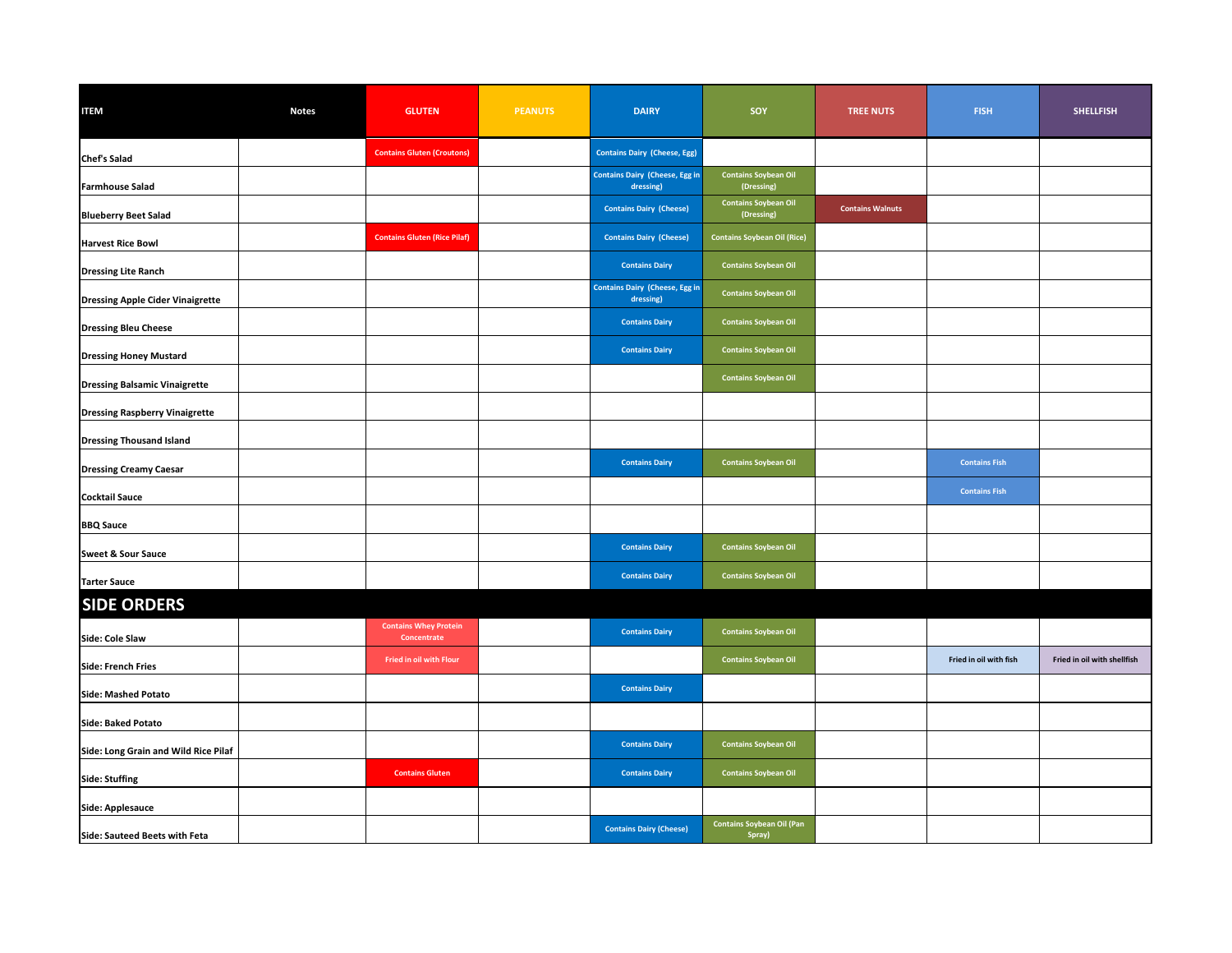| <b>ITEM</b>                             | <b>Notes</b> | <b>GLUTEN</b>                               | <b>PEANUTS</b> | <b>DAIRY</b>                                       | SOY                                        | <b>TREE NUTS</b>        | <b>FISH</b>            | <b>SHELLFISH</b>            |
|-----------------------------------------|--------------|---------------------------------------------|----------------|----------------------------------------------------|--------------------------------------------|-------------------------|------------------------|-----------------------------|
| <b>Chef's Salad</b>                     |              | <b>Contains Gluten (Croutons)</b>           |                | <b>Contains Dairy (Cheese, Egg)</b>                |                                            |                         |                        |                             |
| <b>Farmhouse Salad</b>                  |              |                                             |                | <b>Contains Dairy (Cheese, Egg in</b><br>dressing) | <b>Contains Soybean Oil</b><br>(Dressing)  |                         |                        |                             |
| <b>Blueberry Beet Salad</b>             |              |                                             |                | <b>Contains Dairy (Cheese)</b>                     | <b>Contains Soybean Oil</b><br>(Dressing)  | <b>Contains Walnuts</b> |                        |                             |
| <b>Harvest Rice Bowl</b>                |              | <b>Contains Gluten (Rice Pilaf)</b>         |                | <b>Contains Dairy (Cheese)</b>                     | <b>Contains Soybean Oil (Rice)</b>         |                         |                        |                             |
| <b>Dressing Lite Ranch</b>              |              |                                             |                | <b>Contains Dairy</b>                              | <b>Contains Soybean Oil</b>                |                         |                        |                             |
| <b>Dressing Apple Cider Vinaigrette</b> |              |                                             |                | <b>Contains Dairy (Cheese, Egg in</b><br>dressing) | <b>Contains Soybean Oil</b>                |                         |                        |                             |
| <b>Dressing Bleu Cheese</b>             |              |                                             |                | <b>Contains Dairy</b>                              | <b>Contains Soybean Oil</b>                |                         |                        |                             |
| <b>Dressing Honey Mustard</b>           |              |                                             |                | <b>Contains Dairy</b>                              | <b>Contains Soybean Oil</b>                |                         |                        |                             |
| <b>Dressing Balsamic Vinaigrette</b>    |              |                                             |                |                                                    | <b>Contains Soybean Oil</b>                |                         |                        |                             |
| <b>Dressing Raspberry Vinaigrette</b>   |              |                                             |                |                                                    |                                            |                         |                        |                             |
| <b>Dressing Thousand Island</b>         |              |                                             |                |                                                    |                                            |                         |                        |                             |
| <b>Dressing Creamy Caesar</b>           |              |                                             |                | <b>Contains Dairy</b>                              | <b>Contains Soybean Oil</b>                |                         | <b>Contains Fish</b>   |                             |
| <b>Cocktail Sauce</b>                   |              |                                             |                |                                                    |                                            |                         | <b>Contains Fish</b>   |                             |
| <b>BBQ Sauce</b>                        |              |                                             |                |                                                    |                                            |                         |                        |                             |
| <b>Sweet &amp; Sour Sauce</b>           |              |                                             |                | <b>Contains Dairy</b>                              | <b>Contains Soybean Oil</b>                |                         |                        |                             |
| <b>Tarter Sauce</b>                     |              |                                             |                | <b>Contains Dairy</b>                              | <b>Contains Soybean Oil</b>                |                         |                        |                             |
| <b>SIDE ORDERS</b>                      |              |                                             |                |                                                    |                                            |                         |                        |                             |
| Side: Cole Slaw                         |              | <b>Contains Whey Protein</b><br>Concentrate |                | <b>Contains Dairy</b>                              | <b>Contains Soybean Oil</b>                |                         |                        |                             |
| <b>Side: French Fries</b>               |              | Fried in oil with Flour                     |                |                                                    | <b>Contains Soybean Oil</b>                |                         | Fried in oil with fish | Fried in oil with shellfish |
| <b>Side: Mashed Potato</b>              |              |                                             |                | <b>Contains Dairy</b>                              |                                            |                         |                        |                             |
| Side: Baked Potato                      |              |                                             |                |                                                    |                                            |                         |                        |                             |
| Side: Long Grain and Wild Rice Pilaf    |              |                                             |                | <b>Contains Dairy</b>                              | <b>Contains Soybean Oil</b>                |                         |                        |                             |
| <b>Side: Stuffing</b>                   |              | <b>Contains Gluten</b>                      |                | <b>Contains Dairy</b>                              | <b>Contains Soybean Oil</b>                |                         |                        |                             |
| Side: Applesauce                        |              |                                             |                |                                                    |                                            |                         |                        |                             |
| Side: Sauteed Beets with Feta           |              |                                             |                | <b>Contains Dairy (Cheese)</b>                     | <b>Contains Soybean Oil (Pan</b><br>Spray) |                         |                        |                             |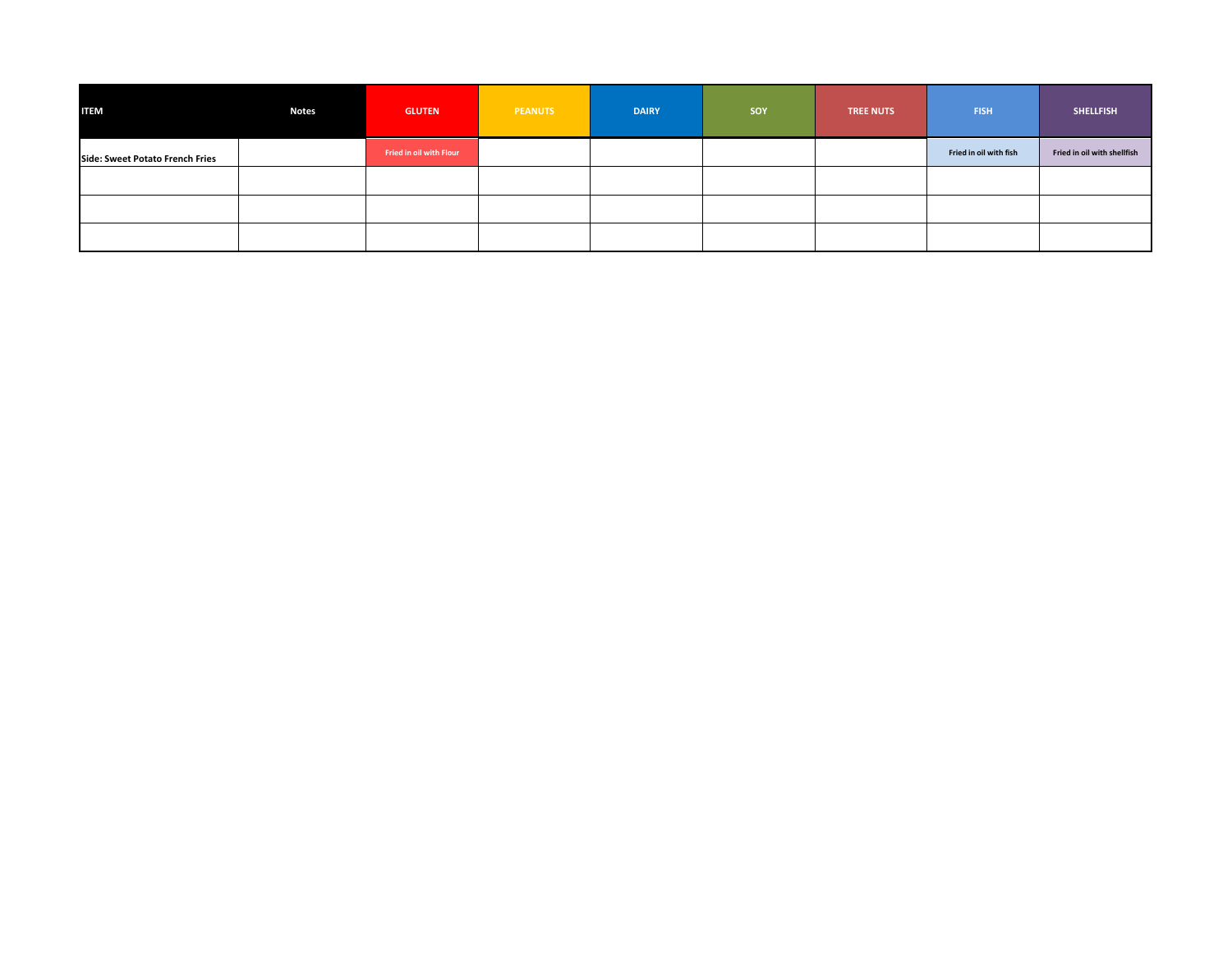| <b>ITEM</b>                     | <b>Notes</b> | <b>GLUTEN</b>           | <b>PEANUTS</b> | <b>DAIRY</b> | <b>SOY</b> | <b>TREE NUTS</b> | <b>FISH</b>            | <b>SHELLFISH</b>            |
|---------------------------------|--------------|-------------------------|----------------|--------------|------------|------------------|------------------------|-----------------------------|
| Side: Sweet Potato French Fries |              | Fried in oil with Flour |                |              |            |                  | Fried in oil with fish | Fried in oil with shellfish |
|                                 |              |                         |                |              |            |                  |                        |                             |
|                                 |              |                         |                |              |            |                  |                        |                             |
|                                 |              |                         |                |              |            |                  |                        |                             |